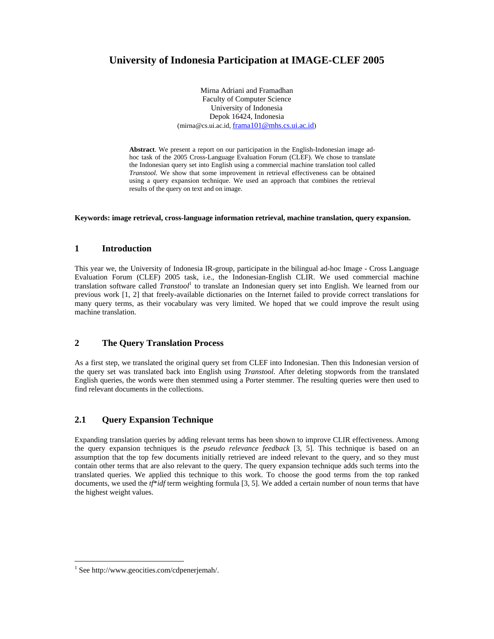# **University of Indonesia Participation at IMAGE-CLEF 2005**

Mirna Adriani and Framadhan Faculty of Computer Science University of Indonesia Depok 16424, Indonesia (mirna@cs.ui.ac.id, frama101@mhs.cs.ui.ac.id)

**Abstract**. We present a report on our participation in the English-Indonesian image adhoc task of the 2005 Cross-Language Evaluation Forum (CLEF). We chose to translate the Indonesian query set into English using a commercial machine translation tool called *Transtool.* We show that some improvement in retrieval effectiveness can be obtained using a query expansion technique. We used an approach that combines the retrieval results of the query on text and on image.

#### **Keywords: image retrieval, cross-language information retrieval, machine translation, query expansion.**

#### **1 Introduction**

This year we, the University of Indonesia IR-group, participate in the bilingual ad-hoc Image - Cross Language Evaluation Forum (CLEF) 2005 task, i.e., the Indonesian-English CLIR. We used commercial machine translation software called *Transtool*<sup>1</sup> to translate an Indonesian query set into English. We learned from our previous work [1, 2] that freely-available dictionaries on the Internet failed to provide correct translations for many query terms, as their vocabulary was very limited. We hoped that we could improve the result using machine translation.

### **2 The Query Translation Process**

As a first step, we translated the original query set from CLEF into Indonesian. Then this Indonesian version of the query set was translated back into English using *Transtool.* After deleting stopwords from the translated English queries, the words were then stemmed using a Porter stemmer. The resulting queries were then used to find relevant documents in the collections.

# **2.1 Query Expansion Technique**

Expanding translation queries by adding relevant terms has been shown to improve CLIR effectiveness. Among the query expansion techniques is the *pseudo relevance feedback* [3, 5]. This technique is based on an assumption that the top few documents initially retrieved are indeed relevant to the query, and so they must contain other terms that are also relevant to the query. The query expansion technique adds such terms into the translated queries. We applied this technique to this work. To choose the good terms from the top ranked documents, we used the *tf*\**idf* term weighting formula [3, 5]. We added a certain number of noun terms that have the highest weight values.

-

<sup>1</sup> See http://www.geocities.com/cdpenerjemah/.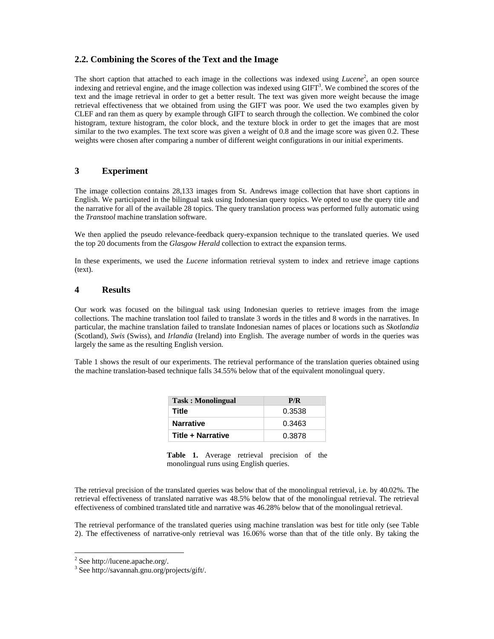# **2.2. Combining the Scores of the Text and the Image**

The short caption that attached to each image in the collections was indexed using *Lucene*<sup>2</sup>, an open source indexing and retrieval engine, and the image collection was indexed using  $GHT<sup>3</sup>$ . We combined the scores of the text and the image retrieval in order to get a better result. The text was given more weight because the image retrieval effectiveness that we obtained from using the GIFT was poor. We used the two examples given by CLEF and ran them as query by example through GIFT to search through the collection. We combined the color histogram, texture histogram, the color block, and the texture block in order to get the images that are most similar to the two examples. The text score was given a weight of 0.8 and the image score was given 0.2. These weights were chosen after comparing a number of different weight configurations in our initial experiments.

## **3 Experiment**

The image collection contains 28,133 images from St. Andrews image collection that have short captions in English. We participated in the bilingual task using Indonesian query topics. We opted to use the query title and the narrative for all of the available 28 topics. The query translation process was performed fully automatic using the *Transtool* machine translation software.

We then applied the pseudo relevance-feedback query-expansion technique to the translated queries. We used the top 20 documents from the *Glasgow Herald* collection to extract the expansion terms.

In these experiments, we used the *Lucene* information retrieval system to index and retrieve image captions (text).

#### **4 Results**

Our work was focused on the bilingual task using Indonesian queries to retrieve images from the image collections. The machine translation tool failed to translate 3 words in the titles and 8 words in the narratives. In particular, the machine translation failed to translate Indonesian names of places or locations such as *Skotlandia* (Scotland), *Swis* (Swiss), and *Irlandia* (Ireland) into English. The average number of words in the queries was largely the same as the resulting English version.

Table 1 shows the result of our experiments. The retrieval performance of the translation queries obtained using the machine translation-based technique falls 34.55% below that of the equivalent monolingual query.

| <b>Task: Monolingual</b> | P/R    |
|--------------------------|--------|
| Title                    | 0.3538 |
| <b>Narrative</b>         | 0.3463 |
| <b>Title + Narrative</b> | 0.3878 |

**Table 1.** Average retrieval precision of the monolingual runs using English queries.

The retrieval precision of the translated queries was below that of the monolingual retrieval, i.e. by 40.02%. The retrieval effectiveness of translated narrative was 48.5% below that of the monolingual retrieval. The retrieval effectiveness of combined translated title and narrative was 46.28% below that of the monolingual retrieval.

The retrieval performance of the translated queries using machine translation was best for title only (see Table 2). The effectiveness of narrative-only retrieval was 16.06% worse than that of the title only. By taking the

-

 $2$  See http://lucene.apache.org/.

<sup>3</sup> See http://savannah.gnu.org/projects/gift/.